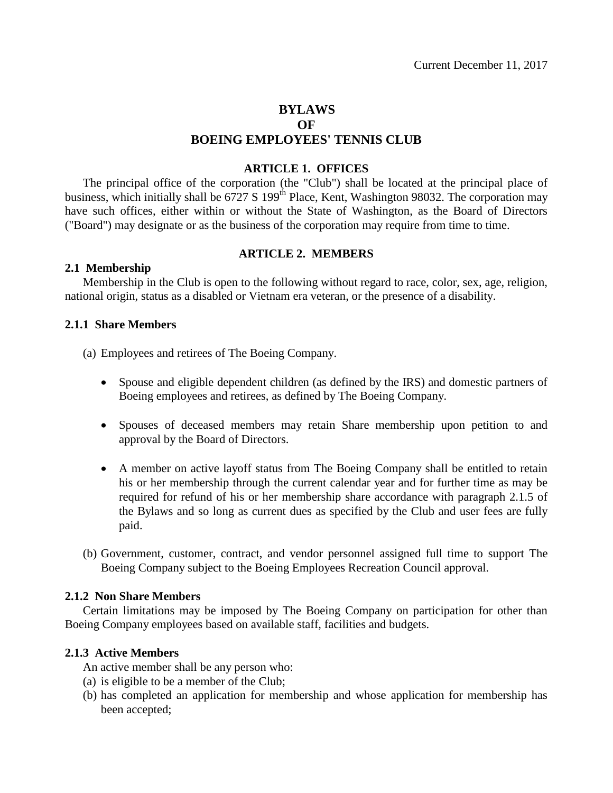# **BYLAWS OF BOEING EMPLOYEES' TENNIS CLUB**

## **ARTICLE 1. OFFICES**

The principal office of the corporation (the "Club") shall be located at the principal place of business, which initially shall be 6727 S 199<sup>th</sup> Place, Kent, Washington 98032. The corporation may have such offices, either within or without the State of Washington, as the Board of Directors ("Board") may designate or as the business of the corporation may require from time to time.

## **ARTICLE 2. MEMBERS**

## **2.1 Membership**

Membership in the Club is open to the following without regard to race, color, sex, age, religion, national origin, status as a disabled or Vietnam era veteran, or the presence of a disability.

## **2.1.1 Share Members**

(a) Employees and retirees of The Boeing Company.

- Spouse and eligible dependent children (as defined by the IRS) and domestic partners of Boeing employees and retirees, as defined by The Boeing Company.
- Spouses of deceased members may retain Share membership upon petition to and approval by the Board of Directors.
- A member on active layoff status from The Boeing Company shall be entitled to retain his or her membership through the current calendar year and for further time as may be required for refund of his or her membership share accordance with paragraph 2.1.5 of the Bylaws and so long as current dues as specified by the Club and user fees are fully paid.
- (b) Government, customer, contract, and vendor personnel assigned full time to support The Boeing Company subject to the Boeing Employees Recreation Council approval.

## **2.1.2 Non Share Members**

Certain limitations may be imposed by The Boeing Company on participation for other than Boeing Company employees based on available staff, facilities and budgets.

## **2.1.3 Active Members**

An active member shall be any person who:

- (a) is eligible to be a member of the Club;
- (b) has completed an application for membership and whose application for membership has been accepted;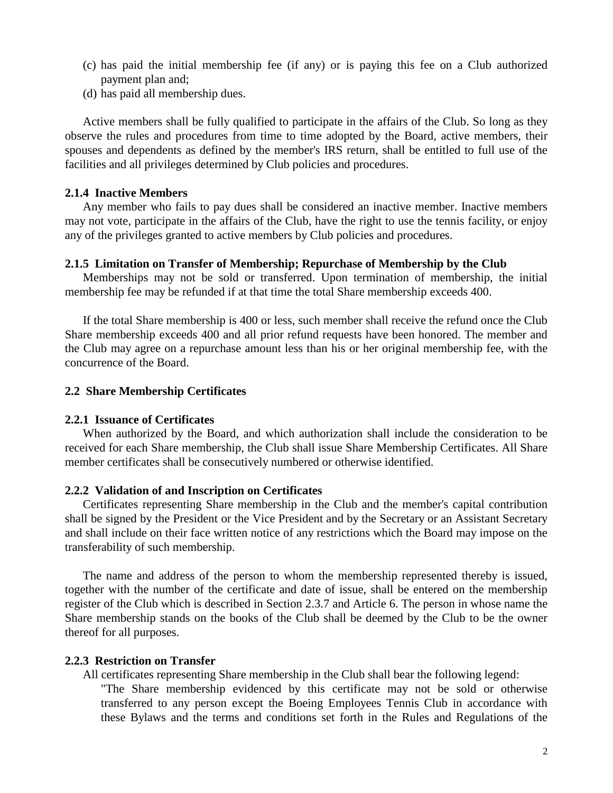- (c) has paid the initial membership fee (if any) or is paying this fee on a Club authorized payment plan and;
- (d) has paid all membership dues.

Active members shall be fully qualified to participate in the affairs of the Club. So long as they observe the rules and procedures from time to time adopted by the Board, active members, their spouses and dependents as defined by the member's IRS return, shall be entitled to full use of the facilities and all privileges determined by Club policies and procedures.

#### **2.1.4 Inactive Members**

Any member who fails to pay dues shall be considered an inactive member. Inactive members may not vote, participate in the affairs of the Club, have the right to use the tennis facility, or enjoy any of the privileges granted to active members by Club policies and procedures.

#### **2.1.5 Limitation on Transfer of Membership; Repurchase of Membership by the Club**

Memberships may not be sold or transferred. Upon termination of membership, the initial membership fee may be refunded if at that time the total Share membership exceeds 400.

If the total Share membership is 400 or less, such member shall receive the refund once the Club Share membership exceeds 400 and all prior refund requests have been honored. The member and the Club may agree on a repurchase amount less than his or her original membership fee, with the concurrence of the Board.

#### **2.2 Share Membership Certificates**

#### **2.2.1 Issuance of Certificates**

When authorized by the Board, and which authorization shall include the consideration to be received for each Share membership, the Club shall issue Share Membership Certificates. All Share member certificates shall be consecutively numbered or otherwise identified.

#### **2.2.2 Validation of and Inscription on Certificates**

Certificates representing Share membership in the Club and the member's capital contribution shall be signed by the President or the Vice President and by the Secretary or an Assistant Secretary and shall include on their face written notice of any restrictions which the Board may impose on the transferability of such membership.

The name and address of the person to whom the membership represented thereby is issued, together with the number of the certificate and date of issue, shall be entered on the membership register of the Club which is described in Section 2.3.7 and Article 6. The person in whose name the Share membership stands on the books of the Club shall be deemed by the Club to be the owner thereof for all purposes.

### **2.2.3 Restriction on Transfer**

All certificates representing Share membership in the Club shall bear the following legend: "The Share membership evidenced by this certificate may not be sold or otherwise transferred to any person except the Boeing Employees Tennis Club in accordance with these Bylaws and the terms and conditions set forth in the Rules and Regulations of the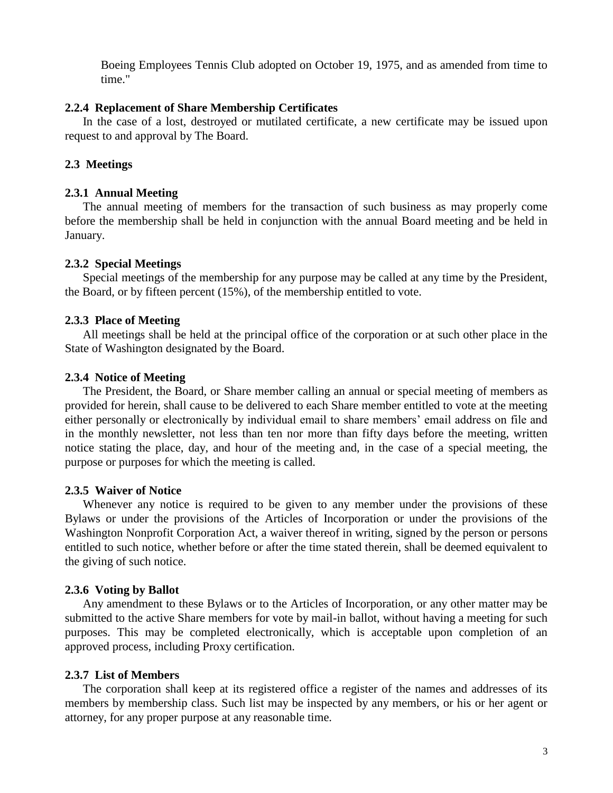Boeing Employees Tennis Club adopted on October 19, 1975, and as amended from time to time."

## **2.2.4 Replacement of Share Membership Certificates**

In the case of a lost, destroyed or mutilated certificate, a new certificate may be issued upon request to and approval by The Board.

# **2.3 Meetings**

# **2.3.1 Annual Meeting**

The annual meeting of members for the transaction of such business as may properly come before the membership shall be held in conjunction with the annual Board meeting and be held in January.

## **2.3.2 Special Meetings**

Special meetings of the membership for any purpose may be called at any time by the President, the Board, or by fifteen percent (15%), of the membership entitled to vote.

# **2.3.3 Place of Meeting**

All meetings shall be held at the principal office of the corporation or at such other place in the State of Washington designated by the Board.

# **2.3.4 Notice of Meeting**

The President, the Board, or Share member calling an annual or special meeting of members as provided for herein, shall cause to be delivered to each Share member entitled to vote at the meeting either personally or electronically by individual email to share members' email address on file and in the monthly newsletter, not less than ten nor more than fifty days before the meeting, written notice stating the place, day, and hour of the meeting and, in the case of a special meeting, the purpose or purposes for which the meeting is called.

# **2.3.5 Waiver of Notice**

Whenever any notice is required to be given to any member under the provisions of these Bylaws or under the provisions of the Articles of Incorporation or under the provisions of the Washington Nonprofit Corporation Act, a waiver thereof in writing, signed by the person or persons entitled to such notice, whether before or after the time stated therein, shall be deemed equivalent to the giving of such notice.

# **2.3.6 Voting by Ballot**

Any amendment to these Bylaws or to the Articles of Incorporation, or any other matter may be submitted to the active Share members for vote by mail-in ballot, without having a meeting for such purposes. This may be completed electronically, which is acceptable upon completion of an approved process, including Proxy certification.

# **2.3.7 List of Members**

The corporation shall keep at its registered office a register of the names and addresses of its members by membership class. Such list may be inspected by any members, or his or her agent or attorney, for any proper purpose at any reasonable time.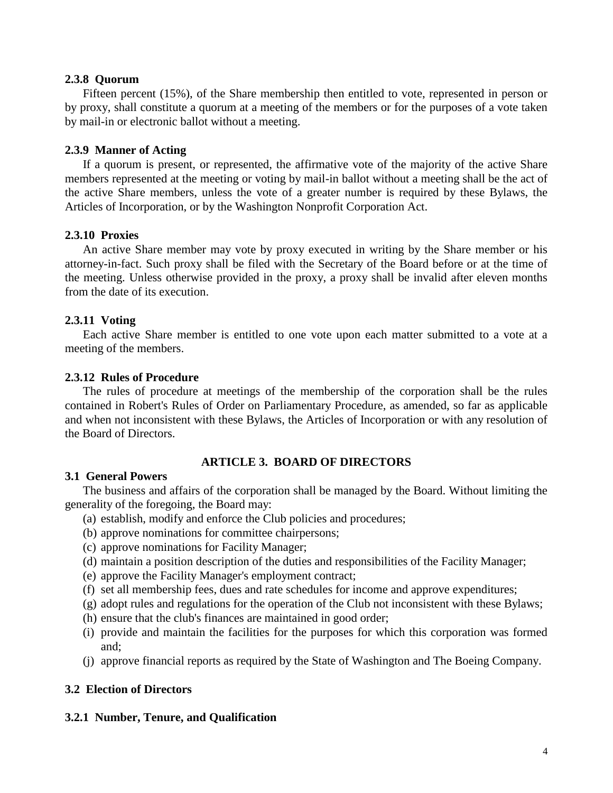#### **2.3.8 Quorum**

Fifteen percent (15%), of the Share membership then entitled to vote, represented in person or by proxy, shall constitute a quorum at a meeting of the members or for the purposes of a vote taken by mail-in or electronic ballot without a meeting.

## **2.3.9 Manner of Acting**

If a quorum is present, or represented, the affirmative vote of the majority of the active Share members represented at the meeting or voting by mail-in ballot without a meeting shall be the act of the active Share members, unless the vote of a greater number is required by these Bylaws, the Articles of Incorporation, or by the Washington Nonprofit Corporation Act.

## **2.3.10 Proxies**

An active Share member may vote by proxy executed in writing by the Share member or his attorney-in-fact. Such proxy shall be filed with the Secretary of the Board before or at the time of the meeting. Unless otherwise provided in the proxy, a proxy shall be invalid after eleven months from the date of its execution.

## **2.3.11 Voting**

Each active Share member is entitled to one vote upon each matter submitted to a vote at a meeting of the members.

## **2.3.12 Rules of Procedure**

The rules of procedure at meetings of the membership of the corporation shall be the rules contained in Robert's Rules of Order on Parliamentary Procedure, as amended, so far as applicable and when not inconsistent with these Bylaws, the Articles of Incorporation or with any resolution of the Board of Directors.

## **ARTICLE 3. BOARD OF DIRECTORS**

#### **3.1 General Powers**

The business and affairs of the corporation shall be managed by the Board. Without limiting the generality of the foregoing, the Board may:

- (a) establish, modify and enforce the Club policies and procedures;
- (b) approve nominations for committee chairpersons;
- (c) approve nominations for Facility Manager;
- (d) maintain a position description of the duties and responsibilities of the Facility Manager;
- (e) approve the Facility Manager's employment contract;
- (f) set all membership fees, dues and rate schedules for income and approve expenditures;
- (g) adopt rules and regulations for the operation of the Club not inconsistent with these Bylaws;
- (h) ensure that the club's finances are maintained in good order;
- (i) provide and maintain the facilities for the purposes for which this corporation was formed and;
- (j) approve financial reports as required by the State of Washington and The Boeing Company.

## **3.2 Election of Directors**

## **3.2.1 Number, Tenure, and Qualification**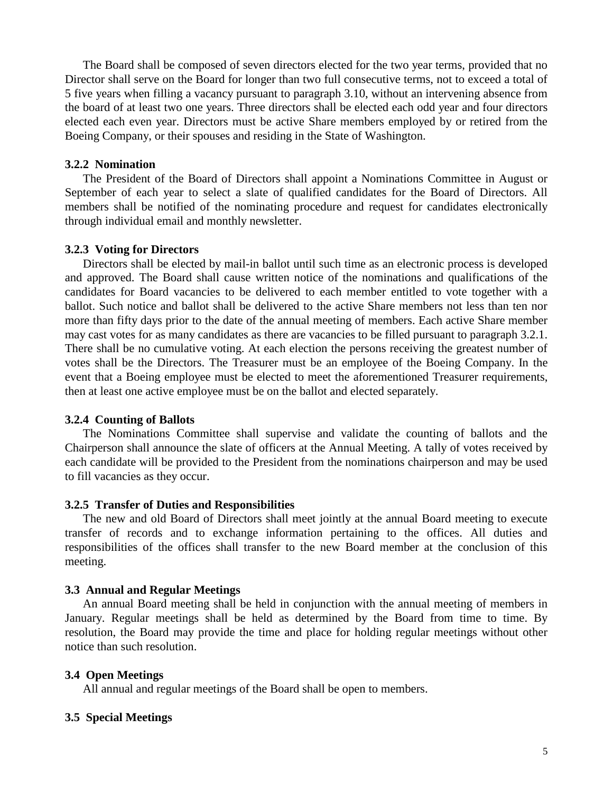The Board shall be composed of seven directors elected for the two year terms, provided that no Director shall serve on the Board for longer than two full consecutive terms, not to exceed a total of 5 five years when filling a vacancy pursuant to paragraph 3.10, without an intervening absence from the board of at least two one years. Three directors shall be elected each odd year and four directors elected each even year. Directors must be active Share members employed by or retired from the Boeing Company, or their spouses and residing in the State of Washington.

#### **3.2.2 Nomination**

The President of the Board of Directors shall appoint a Nominations Committee in August or September of each year to select a slate of qualified candidates for the Board of Directors. All members shall be notified of the nominating procedure and request for candidates electronically through individual email and monthly newsletter.

#### **3.2.3 Voting for Directors**

Directors shall be elected by mail-in ballot until such time as an electronic process is developed and approved. The Board shall cause written notice of the nominations and qualifications of the candidates for Board vacancies to be delivered to each member entitled to vote together with a ballot. Such notice and ballot shall be delivered to the active Share members not less than ten nor more than fifty days prior to the date of the annual meeting of members. Each active Share member may cast votes for as many candidates as there are vacancies to be filled pursuant to paragraph 3.2.1. There shall be no cumulative voting. At each election the persons receiving the greatest number of votes shall be the Directors. The Treasurer must be an employee of the Boeing Company. In the event that a Boeing employee must be elected to meet the aforementioned Treasurer requirements, then at least one active employee must be on the ballot and elected separately.

#### **3.2.4 Counting of Ballots**

The Nominations Committee shall supervise and validate the counting of ballots and the Chairperson shall announce the slate of officers at the Annual Meeting. A tally of votes received by each candidate will be provided to the President from the nominations chairperson and may be used to fill vacancies as they occur.

#### **3.2.5 Transfer of Duties and Responsibilities**

The new and old Board of Directors shall meet jointly at the annual Board meeting to execute transfer of records and to exchange information pertaining to the offices. All duties and responsibilities of the offices shall transfer to the new Board member at the conclusion of this meeting.

#### **3.3 Annual and Regular Meetings**

An annual Board meeting shall be held in conjunction with the annual meeting of members in January. Regular meetings shall be held as determined by the Board from time to time. By resolution, the Board may provide the time and place for holding regular meetings without other notice than such resolution.

#### **3.4 Open Meetings**

All annual and regular meetings of the Board shall be open to members.

#### **3.5 Special Meetings**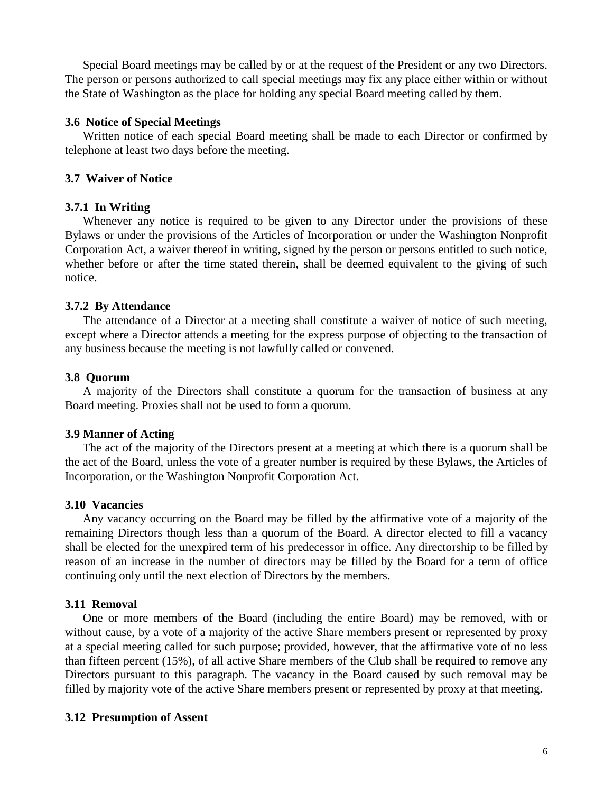Special Board meetings may be called by or at the request of the President or any two Directors. The person or persons authorized to call special meetings may fix any place either within or without the State of Washington as the place for holding any special Board meeting called by them.

#### **3.6 Notice of Special Meetings**

Written notice of each special Board meeting shall be made to each Director or confirmed by telephone at least two days before the meeting.

## **3.7 Waiver of Notice**

## **3.7.1 In Writing**

Whenever any notice is required to be given to any Director under the provisions of these Bylaws or under the provisions of the Articles of Incorporation or under the Washington Nonprofit Corporation Act, a waiver thereof in writing, signed by the person or persons entitled to such notice, whether before or after the time stated therein, shall be deemed equivalent to the giving of such notice.

## **3.7.2 By Attendance**

The attendance of a Director at a meeting shall constitute a waiver of notice of such meeting, except where a Director attends a meeting for the express purpose of objecting to the transaction of any business because the meeting is not lawfully called or convened.

## **3.8 Quorum**

A majority of the Directors shall constitute a quorum for the transaction of business at any Board meeting. Proxies shall not be used to form a quorum.

## **3.9 Manner of Acting**

The act of the majority of the Directors present at a meeting at which there is a quorum shall be the act of the Board, unless the vote of a greater number is required by these Bylaws, the Articles of Incorporation, or the Washington Nonprofit Corporation Act.

## **3.10 Vacancies**

Any vacancy occurring on the Board may be filled by the affirmative vote of a majority of the remaining Directors though less than a quorum of the Board. A director elected to fill a vacancy shall be elected for the unexpired term of his predecessor in office. Any directorship to be filled by reason of an increase in the number of directors may be filled by the Board for a term of office continuing only until the next election of Directors by the members.

## **3.11 Removal**

One or more members of the Board (including the entire Board) may be removed, with or without cause, by a vote of a majority of the active Share members present or represented by proxy at a special meeting called for such purpose; provided, however, that the affirmative vote of no less than fifteen percent (15%), of all active Share members of the Club shall be required to remove any Directors pursuant to this paragraph. The vacancy in the Board caused by such removal may be filled by majority vote of the active Share members present or represented by proxy at that meeting.

## **3.12 Presumption of Assent**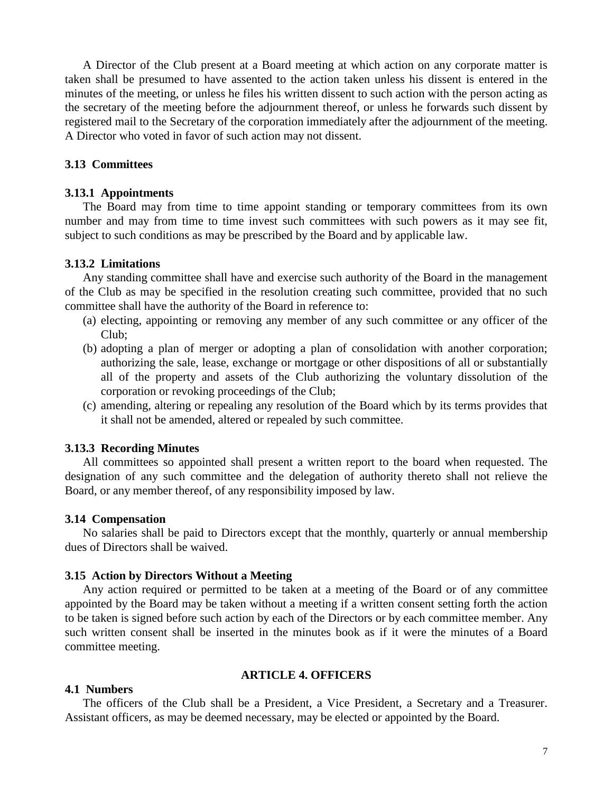A Director of the Club present at a Board meeting at which action on any corporate matter is taken shall be presumed to have assented to the action taken unless his dissent is entered in the minutes of the meeting, or unless he files his written dissent to such action with the person acting as the secretary of the meeting before the adjournment thereof, or unless he forwards such dissent by registered mail to the Secretary of the corporation immediately after the adjournment of the meeting. A Director who voted in favor of such action may not dissent.

#### **3.13 Committees**

#### **3.13.1 Appointments**

The Board may from time to time appoint standing or temporary committees from its own number and may from time to time invest such committees with such powers as it may see fit, subject to such conditions as may be prescribed by the Board and by applicable law.

#### **3.13.2 Limitations**

Any standing committee shall have and exercise such authority of the Board in the management of the Club as may be specified in the resolution creating such committee, provided that no such committee shall have the authority of the Board in reference to:

- (a) electing, appointing or removing any member of any such committee or any officer of the Club;
- (b) adopting a plan of merger or adopting a plan of consolidation with another corporation; authorizing the sale, lease, exchange or mortgage or other dispositions of all or substantially all of the property and assets of the Club authorizing the voluntary dissolution of the corporation or revoking proceedings of the Club;
- (c) amending, altering or repealing any resolution of the Board which by its terms provides that it shall not be amended, altered or repealed by such committee.

#### **3.13.3 Recording Minutes**

All committees so appointed shall present a written report to the board when requested. The designation of any such committee and the delegation of authority thereto shall not relieve the Board, or any member thereof, of any responsibility imposed by law.

#### **3.14 Compensation**

No salaries shall be paid to Directors except that the monthly, quarterly or annual membership dues of Directors shall be waived.

#### **3.15 Action by Directors Without a Meeting**

Any action required or permitted to be taken at a meeting of the Board or of any committee appointed by the Board may be taken without a meeting if a written consent setting forth the action to be taken is signed before such action by each of the Directors or by each committee member. Any such written consent shall be inserted in the minutes book as if it were the minutes of a Board committee meeting.

#### **ARTICLE 4. OFFICERS**

#### **4.1 Numbers**

The officers of the Club shall be a President, a Vice President, a Secretary and a Treasurer. Assistant officers, as may be deemed necessary, may be elected or appointed by the Board.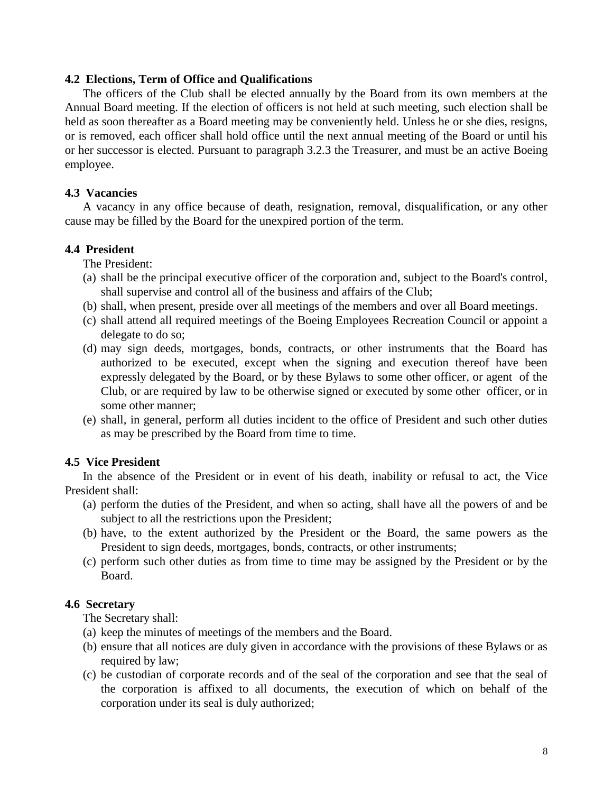## **4.2 Elections, Term of Office and Qualifications**

The officers of the Club shall be elected annually by the Board from its own members at the Annual Board meeting. If the election of officers is not held at such meeting, such election shall be held as soon thereafter as a Board meeting may be conveniently held. Unless he or she dies, resigns, or is removed, each officer shall hold office until the next annual meeting of the Board or until his or her successor is elected. Pursuant to paragraph 3.2.3 the Treasurer, and must be an active Boeing employee.

## **4.3 Vacancies**

A vacancy in any office because of death, resignation, removal, disqualification, or any other cause may be filled by the Board for the unexpired portion of the term.

## **4.4 President**

The President:

- (a) shall be the principal executive officer of the corporation and, subject to the Board's control, shall supervise and control all of the business and affairs of the Club;
- (b) shall, when present, preside over all meetings of the members and over all Board meetings.
- (c) shall attend all required meetings of the Boeing Employees Recreation Council or appoint a delegate to do so;
- (d) may sign deeds, mortgages, bonds, contracts, or other instruments that the Board has authorized to be executed, except when the signing and execution thereof have been expressly delegated by the Board, or by these Bylaws to some other officer, or agent of the Club, or are required by law to be otherwise signed or executed by some other officer, or in some other manner;
- (e) shall, in general, perform all duties incident to the office of President and such other duties as may be prescribed by the Board from time to time.

# **4.5 Vice President**

In the absence of the President or in event of his death, inability or refusal to act, the Vice President shall:

- (a) perform the duties of the President, and when so acting, shall have all the powers of and be subject to all the restrictions upon the President;
- (b) have, to the extent authorized by the President or the Board, the same powers as the President to sign deeds, mortgages, bonds, contracts, or other instruments;
- (c) perform such other duties as from time to time may be assigned by the President or by the Board.

## **4.6 Secretary**

The Secretary shall:

- (a) keep the minutes of meetings of the members and the Board.
- (b) ensure that all notices are duly given in accordance with the provisions of these Bylaws or as required by law;
- (c) be custodian of corporate records and of the seal of the corporation and see that the seal of the corporation is affixed to all documents, the execution of which on behalf of the corporation under its seal is duly authorized;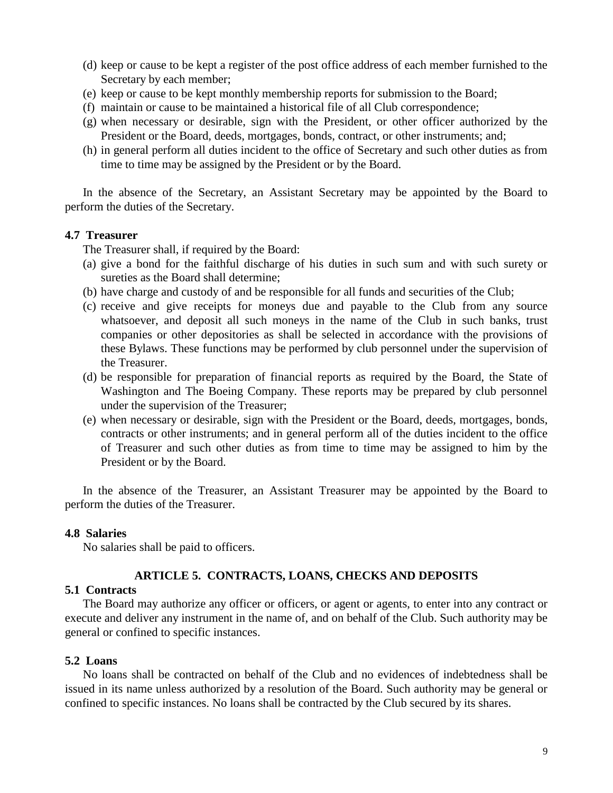- (d) keep or cause to be kept a register of the post office address of each member furnished to the Secretary by each member;
- (e) keep or cause to be kept monthly membership reports for submission to the Board;
- (f) maintain or cause to be maintained a historical file of all Club correspondence;
- (g) when necessary or desirable, sign with the President, or other officer authorized by the President or the Board, deeds, mortgages, bonds, contract, or other instruments; and;
- (h) in general perform all duties incident to the office of Secretary and such other duties as from time to time may be assigned by the President or by the Board.

In the absence of the Secretary, an Assistant Secretary may be appointed by the Board to perform the duties of the Secretary.

#### **4.7 Treasurer**

The Treasurer shall, if required by the Board:

- (a) give a bond for the faithful discharge of his duties in such sum and with such surety or sureties as the Board shall determine;
- (b) have charge and custody of and be responsible for all funds and securities of the Club;
- (c) receive and give receipts for moneys due and payable to the Club from any source whatsoever, and deposit all such moneys in the name of the Club in such banks, trust companies or other depositories as shall be selected in accordance with the provisions of these Bylaws. These functions may be performed by club personnel under the supervision of the Treasurer.
- (d) be responsible for preparation of financial reports as required by the Board, the State of Washington and The Boeing Company. These reports may be prepared by club personnel under the supervision of the Treasurer;
- (e) when necessary or desirable, sign with the President or the Board, deeds, mortgages, bonds, contracts or other instruments; and in general perform all of the duties incident to the office of Treasurer and such other duties as from time to time may be assigned to him by the President or by the Board.

In the absence of the Treasurer, an Assistant Treasurer may be appointed by the Board to perform the duties of the Treasurer.

## **4.8 Salaries**

No salaries shall be paid to officers.

## **ARTICLE 5. CONTRACTS, LOANS, CHECKS AND DEPOSITS**

#### **5.1 Contracts**

The Board may authorize any officer or officers, or agent or agents, to enter into any contract or execute and deliver any instrument in the name of, and on behalf of the Club. Such authority may be general or confined to specific instances.

## **5.2 Loans**

No loans shall be contracted on behalf of the Club and no evidences of indebtedness shall be issued in its name unless authorized by a resolution of the Board. Such authority may be general or confined to specific instances. No loans shall be contracted by the Club secured by its shares.